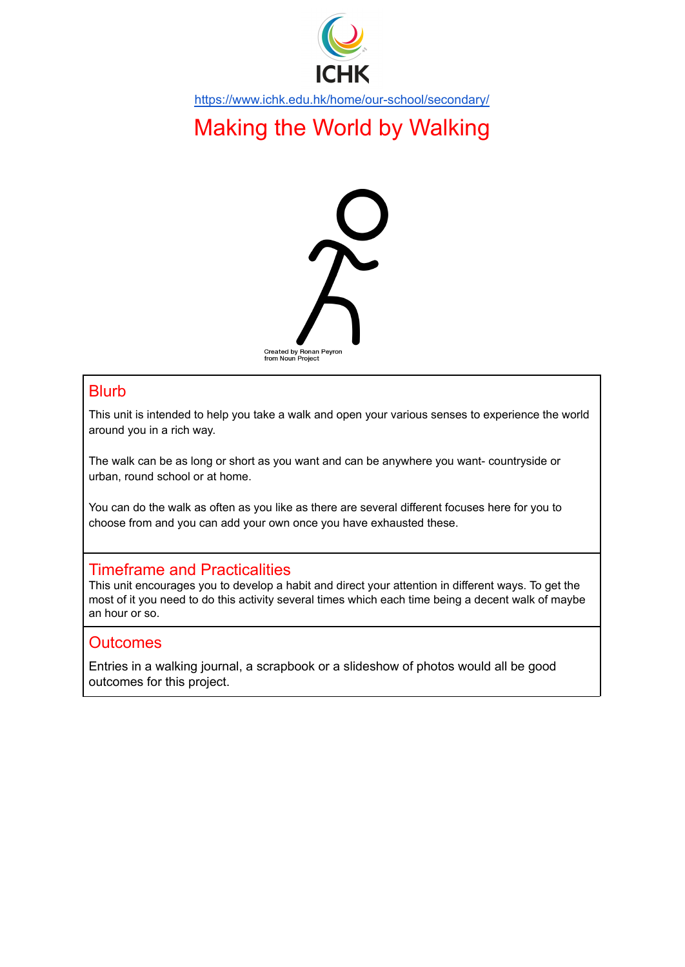

<https://www.ichk.edu.hk/home/our-school/secondary/>

# Making the World by Walking



### **Blurb**

This unit is intended to help you take a walk and open your various senses to experience the world around you in a rich way.

The walk can be as long or short as you want and can be anywhere you want- countryside or urban, round school or at home.

You can do the walk as often as you like as there are several different focuses here for you to choose from and you can add your own once you have exhausted these.

## Timeframe and Practicalities

This unit encourages you to develop a habit and direct your attention in different ways. To get the most of it you need to do this activity several times which each time being a decent walk of maybe an hour or so.

## **Outcomes**

Entries in a walking journal, a scrapbook or a slideshow of photos would all be good outcomes for this project.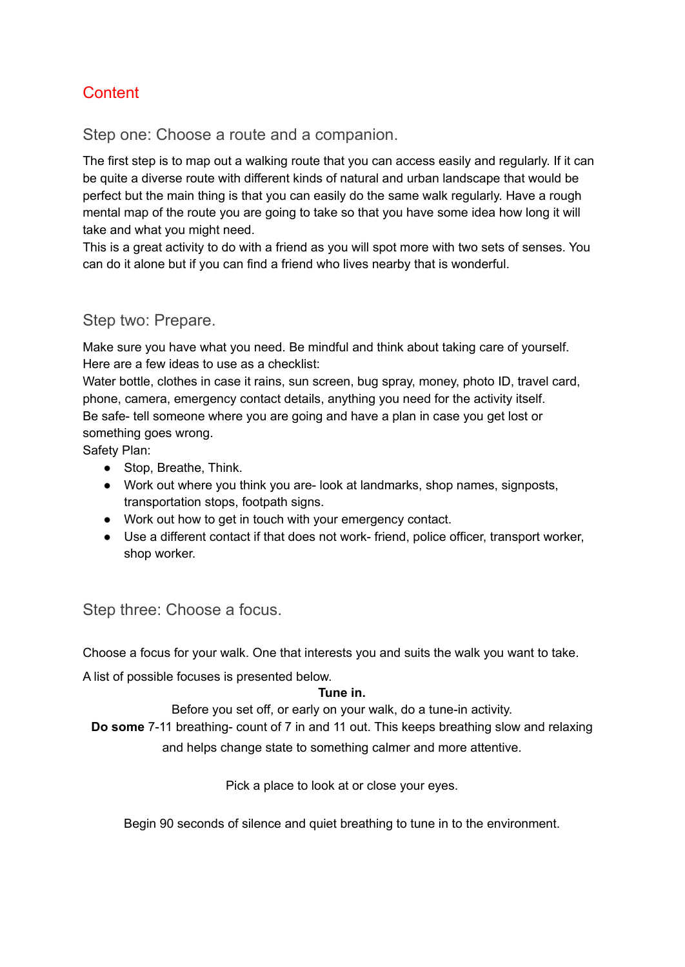## **Content**

Step one: Choose a route and a companion.

The first step is to map out a walking route that you can access easily and regularly. If it can be quite a diverse route with different kinds of natural and urban landscape that would be perfect but the main thing is that you can easily do the same walk regularly. Have a rough mental map of the route you are going to take so that you have some idea how long it will take and what you might need.

This is a great activity to do with a friend as you will spot more with two sets of senses. You can do it alone but if you can find a friend who lives nearby that is wonderful.

## Step two: Prepare.

Make sure you have what you need. Be mindful and think about taking care of yourself. Here are a few ideas to use as a checklist:

Water bottle, clothes in case it rains, sun screen, bug spray, money, photo ID, travel card, phone, camera, emergency contact details, anything you need for the activity itself. Be safe- tell someone where you are going and have a plan in case you get lost or something goes wrong.

Safety Plan:

- Stop, Breathe, Think.
- Work out where you think you are- look at landmarks, shop names, signposts, transportation stops, footpath signs.
- Work out how to get in touch with your emergency contact.
- Use a different contact if that does not work- friend, police officer, transport worker, shop worker.

## Step three: Choose a focus.

Choose a focus for your walk. One that interests you and suits the walk you want to take.

A list of possible focuses is presented below.

#### **Tune in.**

Before you set off, or early on your walk, do a tune-in activity.

**Do some** 7-11 breathing- count of 7 in and 11 out. This keeps breathing slow and relaxing and helps change state to something calmer and more attentive.

Pick a place to look at or close your eyes.

Begin 90 seconds of silence and quiet breathing to tune in to the environment.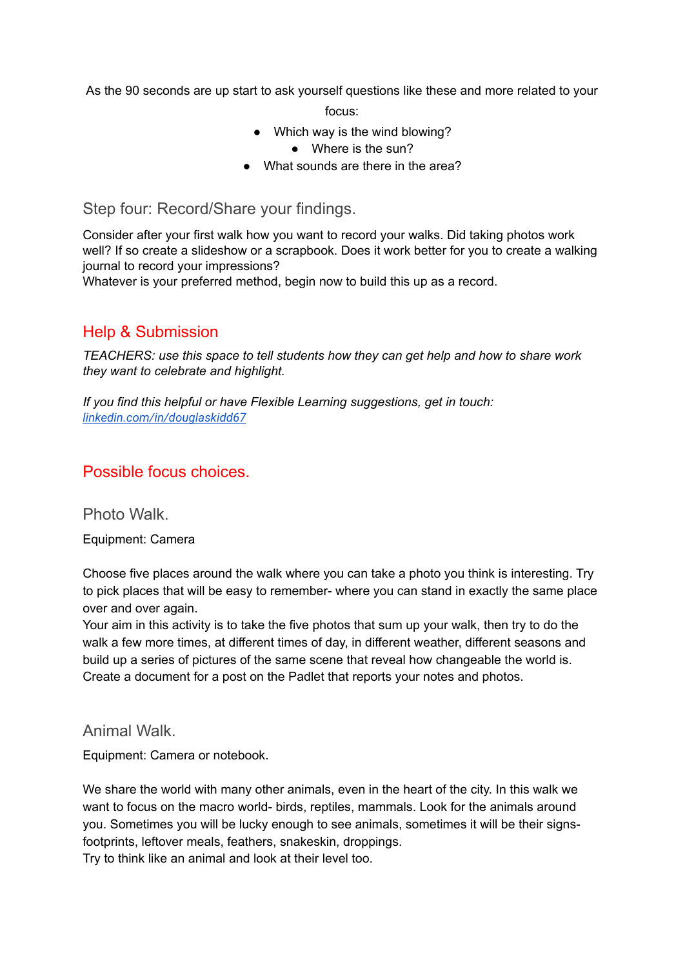As the 90 seconds are up start to ask yourself questions like these and more related to your

focus:

- Which way is the wind blowing?
	- Where is the sun?
- What sounds are there in the area?

Step four: Record/Share your findings.

Consider after your first walk how you want to record your walks. Did taking photos work well? If so create a slideshow or a scrapbook. Does it work better for you to create a walking journal to record your impressions?

Whatever is your preferred method, begin now to build this up as a record.

## Help & Submission

*TEACHERS: use this space to tell students how they can get help and how to share work they want to celebrate and highlight.*

*If you find this helpful or have Flexible Learning suggestions, get in touch: [linkedin.com/in/douglaskidd67](https://www.linkedin.com/in/douglaskidd67)*

## Possible focus choices.

Photo Walk.

Equipment: Camera

Choose five places around the walk where you can take a photo you think is interesting. Try to pick places that will be easy to remember- where you can stand in exactly the same place over and over again.

Your aim in this activity is to take the five photos that sum up your walk, then try to do the walk a few more times, at different times of day, in different weather, different seasons and build up a series of pictures of the same scene that reveal how changeable the world is. Create a document for a post on the Padlet that reports your notes and photos.

### Animal Walk.

Equipment: Camera or notebook.

We share the world with many other animals, even in the heart of the city. In this walk we want to focus on the macro world- birds, reptiles, mammals. Look for the animals around you. Sometimes you will be lucky enough to see animals, sometimes it will be their signsfootprints, leftover meals, feathers, snakeskin, droppings. Try to think like an animal and look at their level too.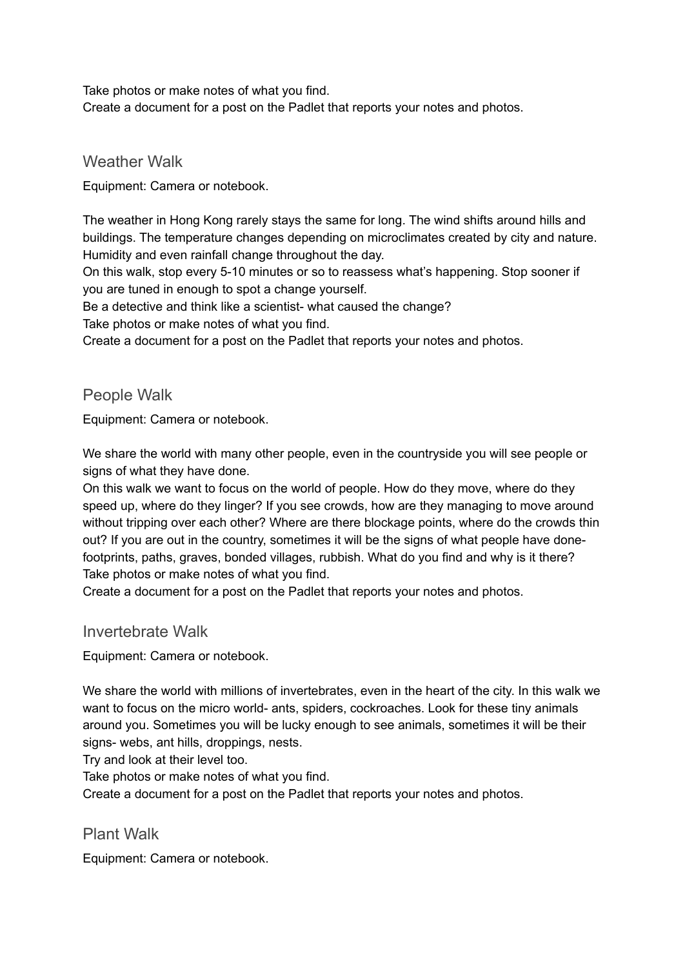Take photos or make notes of what you find. Create a document for a post on the Padlet that reports your notes and photos.

Weather Walk

Equipment: Camera or notebook.

The weather in Hong Kong rarely stays the same for long. The wind shifts around hills and buildings. The temperature changes depending on microclimates created by city and nature. Humidity and even rainfall change throughout the day.

On this walk, stop every 5-10 minutes or so to reassess what's happening. Stop sooner if you are tuned in enough to spot a change yourself.

Be a detective and think like a scientist- what caused the change?

Take photos or make notes of what you find.

Create a document for a post on the Padlet that reports your notes and photos.

## People Walk

Equipment: Camera or notebook.

We share the world with many other people, even in the countryside you will see people or signs of what they have done.

On this walk we want to focus on the world of people. How do they move, where do they speed up, where do they linger? If you see crowds, how are they managing to move around without tripping over each other? Where are there blockage points, where do the crowds thin out? If you are out in the country, sometimes it will be the signs of what people have donefootprints, paths, graves, bonded villages, rubbish. What do you find and why is it there? Take photos or make notes of what you find.

Create a document for a post on the Padlet that reports your notes and photos.

#### Invertebrate Walk

Equipment: Camera or notebook.

We share the world with millions of invertebrates, even in the heart of the city. In this walk we want to focus on the micro world- ants, spiders, cockroaches. Look for these tiny animals around you. Sometimes you will be lucky enough to see animals, sometimes it will be their signs- webs, ant hills, droppings, nests.

Try and look at their level too.

Take photos or make notes of what you find.

Create a document for a post on the Padlet that reports your notes and photos.

## Plant Walk

Equipment: Camera or notebook.